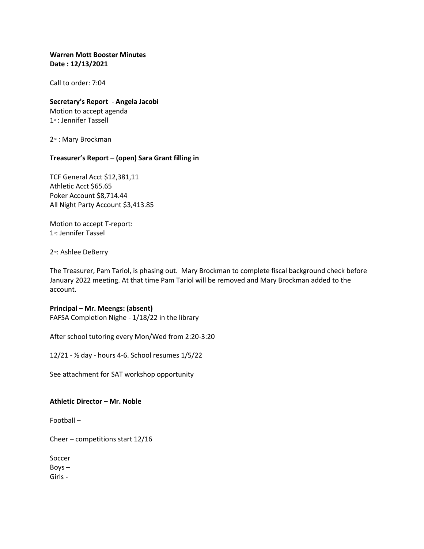#### **Warren Mott Booster Minutes Date : 12/13/2021**

Call to order: 7:04

# **Secretary's Report** - **Angela Jacobi**

Motion to accept agenda 1<sup>st</sup> : Jennifer Tassell

2<sup>nd</sup> : Mary Brockman

## **Treasurer's Report – (open) Sara Grant filling in**

TCF General Acct \$12,381,11 Athletic Acct \$65.65 Poker Account \$8,714.44 All Night Party Account \$3,413.85

Motion to accept T-report: 1<sup>st</sup>: Jennifer Tassel

2<sup>nd</sup>: Ashlee DeBerry

The Treasurer, Pam Tariol, is phasing out. Mary Brockman to complete fiscal background check before January 2022 meeting. At that time Pam Tariol will be removed and Mary Brockman added to the account.

## **Principal – Mr. Meengs: (absent)**

FAFSA Completion Nighe - 1/18/22 in the library

After school tutoring every Mon/Wed from 2:20-3:20

12/21 - ½ day - hours 4-6. School resumes 1/5/22

See attachment for SAT workshop opportunity

**Athletic Director – Mr. Noble**

Football –

Cheer – competitions start 12/16

Soccer Boys – Girls -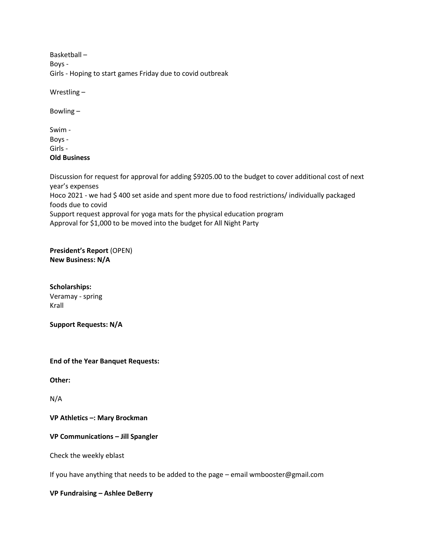Basketball – Boys - Girls - Hoping to start games Friday due to covid outbreak

Wrestling –

Bowling –

Swim - Boys - Girls - **Old Business**

Discussion for request for approval for adding \$9205.00 to the budget to cover additional cost of next year's expenses Hoco 2021 - we had \$400 set aside and spent more due to food restrictions/ individually packaged foods due to covid Support request approval for yoga mats for the physical education program Approval for \$1,000 to be moved into the budget for All Night Party

**President's Report** (OPEN) **New Business: N/A**

**Scholarships:** Veramay - spring Krall

**Support Requests: N/A**

**End of the Year Banquet Requests:**

**Other:**

N/A

**VP Athletics –: Mary Brockman**

**VP Communications – Jill Spangler**

Check the weekly eblast

If you have anything that needs to be added to the page – email wmbooster@gmail.com

**VP Fundraising – Ashlee DeBerry**